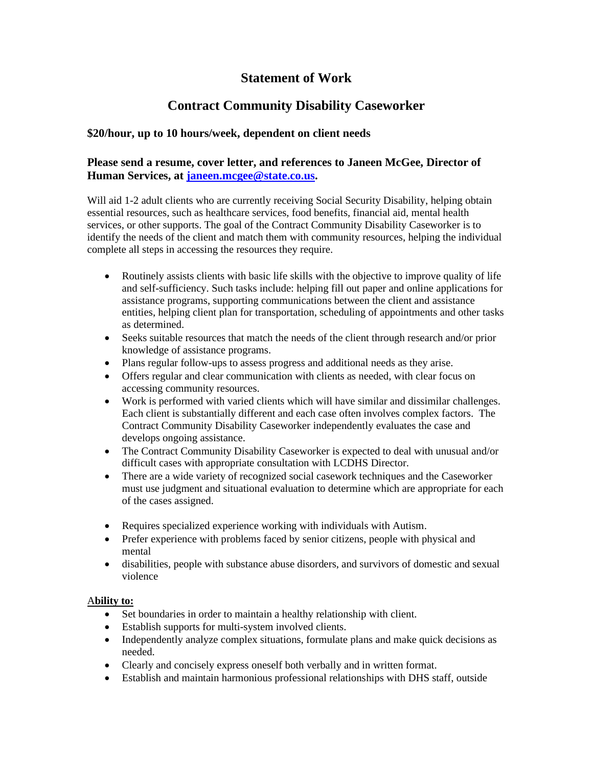# **Statement of Work**

# **Contract Community Disability Caseworker**

# **\$20/hour, up to 10 hours/week, dependent on client needs**

# **Please send a resume, cover letter, and references to Janeen McGee, Director of Human Services, at [janeen.mcgee@state.co.us.](mailto:janeen.mcgee@state.co.us)**

Will aid 1-2 adult clients who are currently receiving Social Security Disability, helping obtain essential resources, such as healthcare services, food benefits, financial aid, mental health services, or other supports. The goal of the Contract Community Disability Caseworker is to identify the needs of the client and match them with community resources, helping the individual complete all steps in accessing the resources they require.

- Routinely assists clients with basic life skills with the objective to improve quality of life and self-sufficiency. Such tasks include: helping fill out paper and online applications for assistance programs, supporting communications between the client and assistance entities, helping client plan for transportation, scheduling of appointments and other tasks as determined.
- Seeks suitable resources that match the needs of the client through research and/or prior knowledge of assistance programs.
- Plans regular follow-ups to assess progress and additional needs as they arise.
- Offers regular and clear communication with clients as needed, with clear focus on accessing community resources.
- Work is performed with varied clients which will have similar and dissimilar challenges. Each client is substantially different and each case often involves complex factors. The Contract Community Disability Caseworker independently evaluates the case and develops ongoing assistance.
- The Contract Community Disability Caseworker is expected to deal with unusual and/or difficult cases with appropriate consultation with LCDHS Director.
- There are a wide variety of recognized social casework techniques and the Caseworker must use judgment and situational evaluation to determine which are appropriate for each of the cases assigned.
- Requires specialized experience working with individuals with Autism.
- Prefer experience with problems faced by senior citizens, people with physical and mental
- disabilities, people with substance abuse disorders, and survivors of domestic and sexual violence

### A**bility to:**

- Set boundaries in order to maintain a healthy relationship with client.
- Establish supports for multi-system involved clients.
- Independently analyze complex situations, formulate plans and make quick decisions as needed.
- Clearly and concisely express oneself both verbally and in written format.
- Establish and maintain harmonious professional relationships with DHS staff, outside